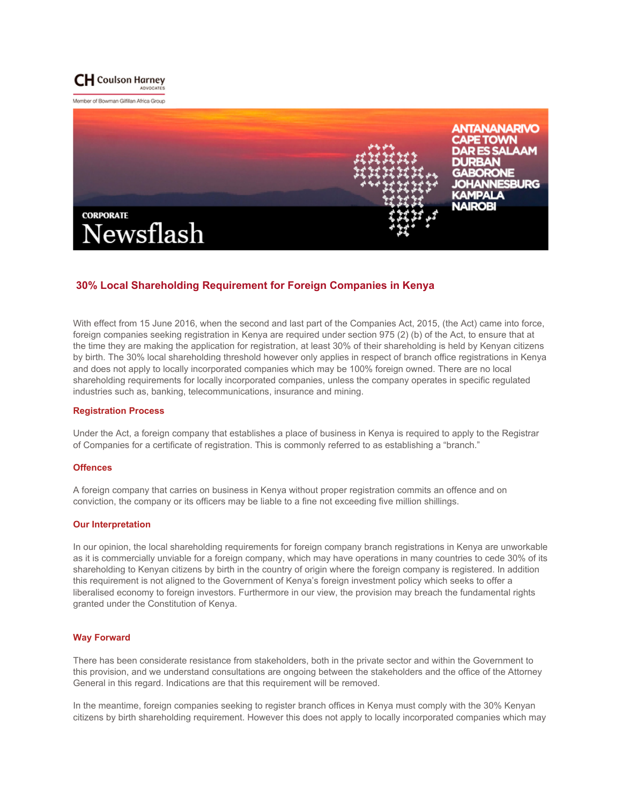

Member of Bowman Gifflan Africa Group



# **30% Local Shareholding Requirement for Foreign Companies in Kenya**

With effect from 15 June 2016, when the second and last part of the Companies Act, 2015, (the Act) came into force, foreign companies seeking registration in Kenya are required under section 975 (2) (b) of the Act, to ensure that at the time they are making the application for registration, at least 30% of their shareholding is held by Kenyan citizens by birth. The 30% local shareholding threshold however only applies in respect of branch office registrations in Kenya and does not apply to locally incorporated companies which may be 100% foreign owned. There are no local shareholding requirements for locally incorporated companies, unless the company operates in specific regulated industries such as, banking, telecommunications, insurance and mining.

#### **Registration Process**

Under the Act, a foreign company that establishes a place of business in Kenya is required to apply to the Registrar of Companies for a certificate of registration. This is commonly referred to as establishing a "branch."

#### **Offences**

A foreign company that carries on business in Kenya without proper registration commits an offence and on conviction, the company or its officers may be liable to a fine not exceeding five million shillings.

### **Our Interpretation**

In our opinion, the local shareholding requirements for foreign company branch registrations in Kenya are unworkable as it is commercially unviable for a foreign company, which may have operations in many countries to cede 30% of its shareholding to Kenyan citizens by birth in the country of origin where the foreign company is registered. In addition this requirement is not aligned to the Government of Kenya's foreign investment policy which seeks to offer a liberalised economy to foreign investors. Furthermore in our view, the provision may breach the fundamental rights granted under the Constitution of Kenya.

## **Way Forward**

There has been considerate resistance from stakeholders, both in the private sector and within the Government to this provision, and we understand consultations are ongoing between the stakeholders and the office of the Attorney General in this regard. Indications are that this requirement will be removed.

In the meantime, foreign companies seeking to register branch offices in Kenya must comply with the 30% Kenyan citizens by birth shareholding requirement. However this does not apply to locally incorporated companies which may